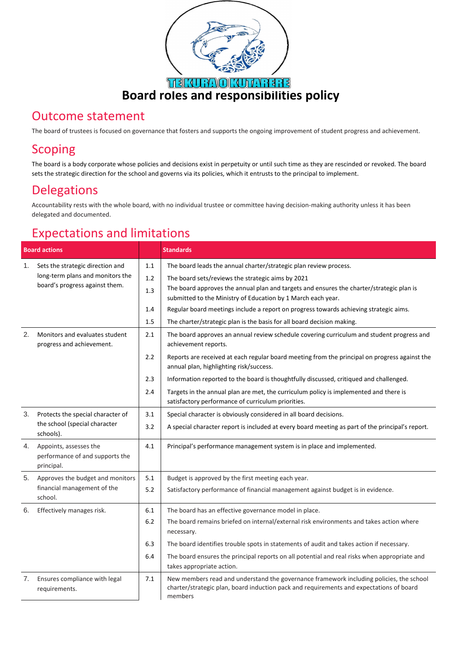

#### Outcome statement

The board of trustees is focused on governance that fosters and supports the ongoing improvement of student progress and achievement.

### Scoping

The board is a body corporate whose policies and decisions exist in perpetuity or until such time as they are rescinded or revoked. The board sets the strategic direction for the school and governs via its policies, which it entrusts to the principal to implement.

#### Delegations

Accountability rests with the whole board, with no individual trustee or committee having decision-making authority unless it has been delegated and documented.

## Expectations and limitations

| <b>Board actions</b> |                                                                                                        |     | <b>Standards</b>                                                                                                                                                                              |
|----------------------|--------------------------------------------------------------------------------------------------------|-----|-----------------------------------------------------------------------------------------------------------------------------------------------------------------------------------------------|
| 1.                   | Sets the strategic direction and<br>long-term plans and monitors the<br>board's progress against them. | 1.1 | The board leads the annual charter/strategic plan review process.                                                                                                                             |
|                      |                                                                                                        | 1.2 | The board sets/reviews the strategic aims by 2021                                                                                                                                             |
|                      |                                                                                                        | 1.3 | The board approves the annual plan and targets and ensures the charter/strategic plan is                                                                                                      |
|                      |                                                                                                        |     | submitted to the Ministry of Education by 1 March each year.                                                                                                                                  |
|                      |                                                                                                        | 1.4 | Regular board meetings include a report on progress towards achieving strategic aims.                                                                                                         |
|                      |                                                                                                        | 1.5 | The charter/strategic plan is the basis for all board decision making.                                                                                                                        |
| 2.                   | Monitors and evaluates student<br>progress and achievement.                                            | 2.1 | The board approves an annual review schedule covering curriculum and student progress and<br>achievement reports.                                                                             |
|                      |                                                                                                        | 2.2 | Reports are received at each regular board meeting from the principal on progress against the<br>annual plan, highlighting risk/success.                                                      |
|                      |                                                                                                        | 2.3 | Information reported to the board is thoughtfully discussed, critiqued and challenged.                                                                                                        |
|                      |                                                                                                        | 2.4 | Targets in the annual plan are met, the curriculum policy is implemented and there is<br>satisfactory performance of curriculum priorities.                                                   |
| 3.                   | Protects the special character of<br>the school (special character<br>schools).                        | 3.1 | Special character is obviously considered in all board decisions.                                                                                                                             |
|                      |                                                                                                        | 3.2 | A special character report is included at every board meeting as part of the principal's report.                                                                                              |
| 4.                   | Appoints, assesses the<br>performance of and supports the<br>principal.                                | 4.1 | Principal's performance management system is in place and implemented.                                                                                                                        |
| 5.                   | Approves the budget and monitors<br>financial management of the<br>school.                             | 5.1 | Budget is approved by the first meeting each year.                                                                                                                                            |
|                      |                                                                                                        | 5.2 | Satisfactory performance of financial management against budget is in evidence.                                                                                                               |
| 6.                   | Effectively manages risk.                                                                              | 6.1 | The board has an effective governance model in place.                                                                                                                                         |
|                      |                                                                                                        | 6.2 | The board remains briefed on internal/external risk environments and takes action where<br>necessary.                                                                                         |
|                      |                                                                                                        | 6.3 | The board identifies trouble spots in statements of audit and takes action if necessary.                                                                                                      |
|                      |                                                                                                        | 6.4 | The board ensures the principal reports on all potential and real risks when appropriate and<br>takes appropriate action.                                                                     |
| 7.                   | Ensures compliance with legal<br>requirements.                                                         | 7.1 | New members read and understand the governance framework including policies, the school<br>charter/strategic plan, board induction pack and requirements and expectations of board<br>members |